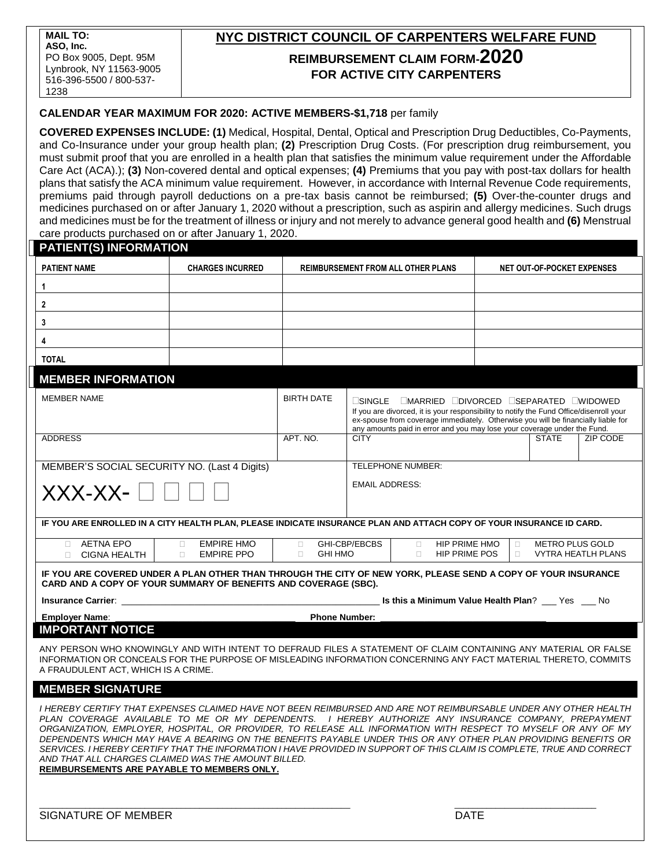# **NYC DISTRICT COUNCIL OF CARPENTERS WELFARE FUND REIMBURSEMENT CLAIM FORM-2020 FOR ACTIVE CITY CARPENTERS**

# **CALENDAR YEAR MAXIMUM FOR 2020: ACTIVE MEMBERS-\$1,718** per family

**COVERED EXPENSES INCLUDE: (1)** Medical, Hospital, Dental, Optical and Prescription Drug Deductibles, Co-Payments, and Co-Insurance under your group health plan; **(2)** Prescription Drug Costs. (For prescription drug reimbursement, you must submit proof that you are enrolled in a health plan that satisfies the minimum value requirement under the Affordable Care Act (ACA).); **(3)** Non-covered dental and optical expenses; **(4)** Premiums that you pay with post-tax dollars for health plans that satisfy the ACA minimum value requirement. However, in accordance with Internal Revenue Code requirements, premiums paid through payroll deductions on a pre-tax basis cannot be reimbursed; **(5)** Over-the-counter drugs and medicines purchased on or after January 1, 2020 without a prescription, such as aspirin and allergy medicines. Such drugs and medicines must be for the treatment of illness or injury and not merely to advance general good health and **(6)** Menstrual care products purchased on or after January 1, 2020.

| <b>PATIENT(S) INFORMATION</b>                                                                                                                                                                                                                                                                                                                                                                                                                                                                                                                                                                                                                                                                     |  |                                                     |                                                                                                                                                                                                                                                                                                                                                         |                                                                                                                               |                            |              |          |
|---------------------------------------------------------------------------------------------------------------------------------------------------------------------------------------------------------------------------------------------------------------------------------------------------------------------------------------------------------------------------------------------------------------------------------------------------------------------------------------------------------------------------------------------------------------------------------------------------------------------------------------------------------------------------------------------------|--|-----------------------------------------------------|---------------------------------------------------------------------------------------------------------------------------------------------------------------------------------------------------------------------------------------------------------------------------------------------------------------------------------------------------------|-------------------------------------------------------------------------------------------------------------------------------|----------------------------|--------------|----------|
| <b>PATIENT NAME</b><br><b>CHARGES INCURRED</b>                                                                                                                                                                                                                                                                                                                                                                                                                                                                                                                                                                                                                                                    |  | <b>REIMBURSEMENT FROM ALL OTHER PLANS</b>           |                                                                                                                                                                                                                                                                                                                                                         |                                                                                                                               | NET OUT-OF-POCKET EXPENSES |              |          |
| 1                                                                                                                                                                                                                                                                                                                                                                                                                                                                                                                                                                                                                                                                                                 |  |                                                     |                                                                                                                                                                                                                                                                                                                                                         |                                                                                                                               |                            |              |          |
| $\mathbf{2}$                                                                                                                                                                                                                                                                                                                                                                                                                                                                                                                                                                                                                                                                                      |  |                                                     |                                                                                                                                                                                                                                                                                                                                                         |                                                                                                                               |                            |              |          |
| 3                                                                                                                                                                                                                                                                                                                                                                                                                                                                                                                                                                                                                                                                                                 |  |                                                     |                                                                                                                                                                                                                                                                                                                                                         |                                                                                                                               |                            |              |          |
| 4                                                                                                                                                                                                                                                                                                                                                                                                                                                                                                                                                                                                                                                                                                 |  |                                                     |                                                                                                                                                                                                                                                                                                                                                         |                                                                                                                               |                            |              |          |
| <b>TOTAL</b>                                                                                                                                                                                                                                                                                                                                                                                                                                                                                                                                                                                                                                                                                      |  |                                                     |                                                                                                                                                                                                                                                                                                                                                         |                                                                                                                               |                            |              |          |
| <b>MEMBER INFORMATION</b>                                                                                                                                                                                                                                                                                                                                                                                                                                                                                                                                                                                                                                                                         |  |                                                     |                                                                                                                                                                                                                                                                                                                                                         |                                                                                                                               |                            |              |          |
| <b>MEMBER NAME</b>                                                                                                                                                                                                                                                                                                                                                                                                                                                                                                                                                                                                                                                                                |  | <b>BIRTH DATE</b>                                   | $\square$ single $\square$ married $\square$ divorced $\square$ separated $\square$ widowed<br>If you are divorced, it is your responsibility to notify the Fund Office/disenroll your<br>ex-spouse from coverage immediately. Otherwise you will be financially liable for<br>any amounts paid in error and you may lose your coverage under the Fund. |                                                                                                                               |                            |              |          |
| <b>ADDRESS</b>                                                                                                                                                                                                                                                                                                                                                                                                                                                                                                                                                                                                                                                                                    |  | APT. NO.                                            | <b>CITY</b>                                                                                                                                                                                                                                                                                                                                             |                                                                                                                               |                            | <b>STATE</b> | ZIP CODE |
| MEMBER'S SOCIAL SECURITY NO. (Last 4 Digits)                                                                                                                                                                                                                                                                                                                                                                                                                                                                                                                                                                                                                                                      |  |                                                     | <b>TELEPHONE NUMBER:</b>                                                                                                                                                                                                                                                                                                                                |                                                                                                                               |                            |              |          |
| XXX-XX-                                                                                                                                                                                                                                                                                                                                                                                                                                                                                                                                                                                                                                                                                           |  | <b>EMAIL ADDRESS:</b>                               |                                                                                                                                                                                                                                                                                                                                                         |                                                                                                                               |                            |              |          |
| IF YOU ARE ENROLLED IN A CITY HEALTH PLAN, PLEASE INDICATE INSURANCE PLAN AND ATTACH COPY OF YOUR INSURANCE ID CARD.                                                                                                                                                                                                                                                                                                                                                                                                                                                                                                                                                                              |  |                                                     |                                                                                                                                                                                                                                                                                                                                                         |                                                                                                                               |                            |              |          |
| <b>AETNA EPO</b><br><b>EMPIRE HMO</b><br>$\Box$<br>П.<br><b>EMPIRE PPO</b><br><b>CIGNA HEALTH</b><br>$\Box$<br>П.                                                                                                                                                                                                                                                                                                                                                                                                                                                                                                                                                                                 |  | GHI-CBP/EBCBS<br>$\Box$<br>$\Box$<br><b>GHI HMO</b> |                                                                                                                                                                                                                                                                                                                                                         | HIP PRIME HMO<br><b>METRO PLUS GOLD</b><br>$\Box$<br>$\Box$<br>$\Box$<br>HIP PRIME POS<br><b>VYTRA HEATLH PLANS</b><br>$\Box$ |                            |              |          |
| IF YOU ARE COVERED UNDER A PLAN OTHER THAN THROUGH THE CITY OF NEW YORK, PLEASE SEND A COPY OF YOUR INSURANCE<br>CARD AND A COPY OF YOUR SUMMARY OF BENEFITS AND COVERAGE (SBC).                                                                                                                                                                                                                                                                                                                                                                                                                                                                                                                  |  |                                                     |                                                                                                                                                                                                                                                                                                                                                         |                                                                                                                               |                            |              |          |
| Is this a Minimum Value Health Plan? __ Yes __ No<br><b>Insurance Carrier:</b> the control of the control of the control of the control of the control of the control of the control of the control of the control of the control of the control of the control of the control of the co                                                                                                                                                                                                                                                                                                                                                                                                          |  |                                                     |                                                                                                                                                                                                                                                                                                                                                         |                                                                                                                               |                            |              |          |
| <b>Employer Name:</b><br><b>Phone Number:</b>                                                                                                                                                                                                                                                                                                                                                                                                                                                                                                                                                                                                                                                     |  |                                                     |                                                                                                                                                                                                                                                                                                                                                         |                                                                                                                               |                            |              |          |
| <b>IMPORTANT NOTICE</b>                                                                                                                                                                                                                                                                                                                                                                                                                                                                                                                                                                                                                                                                           |  |                                                     |                                                                                                                                                                                                                                                                                                                                                         |                                                                                                                               |                            |              |          |
| ANY PERSON WHO KNOWINGLY AND WITH INTENT TO DEFRAUD FILES A STATEMENT OF CLAIM CONTAINING ANY MATERIAL OR FALSE<br>INFORMATION OR CONCEALS FOR THE PURPOSE OF MISLEADING INFORMATION CONCERNING ANY FACT MATERIAL THERETO, COMMITS<br>A FRAUDULENT ACT, WHICH IS A CRIME.                                                                                                                                                                                                                                                                                                                                                                                                                         |  |                                                     |                                                                                                                                                                                                                                                                                                                                                         |                                                                                                                               |                            |              |          |
| <b>MEMBER SIGNATURE</b>                                                                                                                                                                                                                                                                                                                                                                                                                                                                                                                                                                                                                                                                           |  |                                                     |                                                                                                                                                                                                                                                                                                                                                         |                                                                                                                               |                            |              |          |
| I HEREBY CERTIFY THAT EXPENSES CLAIMED HAVE NOT BEEN REIMBURSED AND ARE NOT REIMBURSABLE UNDER ANY OTHER HEALTH<br>PLAN COVERAGE AVAILABLE TO ME OR MY DEPENDENTS. I HEREBY AUTHORIZE ANY INSURANCE COMPANY, PREPAYMENT<br>ORGANIZATION, EMPLOYER, HOSPITAL, OR PROVIDER, TO RELEASE ALL INFORMATION WITH RESPECT TO MYSELF OR ANY OF MY<br>DEPENDENTS WHICH MAY HAVE A BEARING ON THE BENEFITS PAYABLE UNDER THIS OR ANY OTHER PLAN PROVIDING BENEFITS OR<br>SERVICES. I HEREBY CERTIFY THAT THE INFORMATION I HAVE PROVIDED IN SUPPORT OF THIS CLAIM IS COMPLETE, TRUE AND CORRECT<br>AND THAT ALL CHARGES CLAIMED WAS THE AMOUNT BILLED.<br><b>REIMBURSEMENTS ARE PAYABLE TO MEMBERS ONLY.</b> |  |                                                     |                                                                                                                                                                                                                                                                                                                                                         |                                                                                                                               |                            |              |          |
| <b>SIGNATURE OF MEMBER</b>                                                                                                                                                                                                                                                                                                                                                                                                                                                                                                                                                                                                                                                                        |  |                                                     | <b>DATE</b>                                                                                                                                                                                                                                                                                                                                             |                                                                                                                               |                            |              |          |